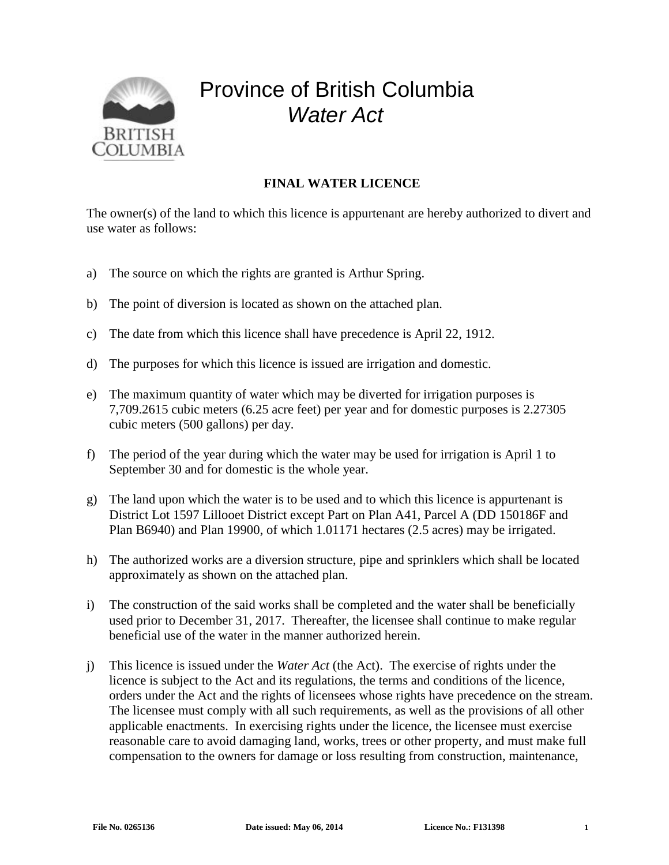

## Province of British Columbia *Water Act*

## **FINAL WATER LICENCE**

The owner(s) of the land to which this licence is appurtenant are hereby authorized to divert and use water as follows:

- a) The source on which the rights are granted is Arthur Spring.
- b) The point of diversion is located as shown on the attached plan.
- c) The date from which this licence shall have precedence is April 22, 1912.
- d) The purposes for which this licence is issued are irrigation and domestic.
- e) The maximum quantity of water which may be diverted for irrigation purposes is 7,709.2615 cubic meters (6.25 acre feet) per year and for domestic purposes is 2.27305 cubic meters (500 gallons) per day.
- f) The period of the year during which the water may be used for irrigation is April 1 to September 30 and for domestic is the whole year.
- g) The land upon which the water is to be used and to which this licence is appurtenant is District Lot 1597 Lillooet District except Part on Plan A41, Parcel A (DD 150186F and Plan B6940) and Plan 19900, of which 1.01171 hectares (2.5 acres) may be irrigated.
- h) The authorized works are a diversion structure, pipe and sprinklers which shall be located approximately as shown on the attached plan.
- i) The construction of the said works shall be completed and the water shall be beneficially used prior to December 31, 2017. Thereafter, the licensee shall continue to make regular beneficial use of the water in the manner authorized herein.
- j) This licence is issued under the *Water Act* (the Act). The exercise of rights under the licence is subject to the Act and its regulations, the terms and conditions of the licence, orders under the Act and the rights of licensees whose rights have precedence on the stream. The licensee must comply with all such requirements, as well as the provisions of all other applicable enactments. In exercising rights under the licence, the licensee must exercise reasonable care to avoid damaging land, works, trees or other property, and must make full compensation to the owners for damage or loss resulting from construction, maintenance,